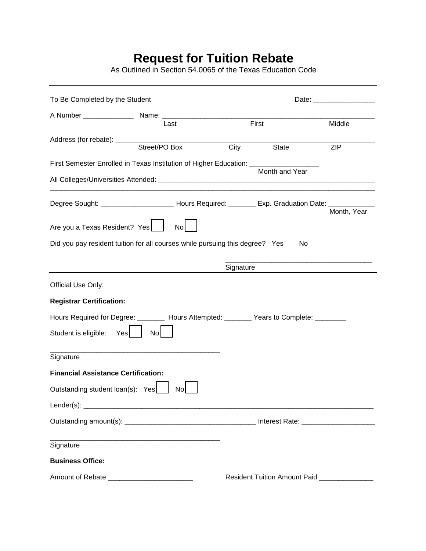## **Request for Tuition Rebate**

As Outlined in Section 54.0065 of the Texas Education Code

| To Be Completed by the Student                                                          |                                                                                                                       |       |                |             |
|-----------------------------------------------------------------------------------------|-----------------------------------------------------------------------------------------------------------------------|-------|----------------|-------------|
| A Number ______________                                                                 |                                                                                                                       |       |                |             |
|                                                                                         | Last                                                                                                                  | First |                | Middle      |
|                                                                                         |                                                                                                                       | City  | State          | <b>ZIP</b>  |
|                                                                                         | First Semester Enrolled in Texas Institution of Higher Education: ________                                            |       | Month and Year |             |
|                                                                                         |                                                                                                                       |       |                |             |
|                                                                                         | Degree Sought: _________________________ Hours Required: ________ Exp. Graduation Date: ________                      |       |                | Month, Year |
| Are you a Texas Resident? Yes                                                           | No                                                                                                                    |       |                |             |
|                                                                                         | Did you pay resident tuition for all courses while pursuing this degree? Yes                                          |       | No             |             |
|                                                                                         | Signature                                                                                                             |       |                |             |
|                                                                                         |                                                                                                                       |       |                |             |
| Official Use Only:                                                                      |                                                                                                                       |       |                |             |
| <b>Registrar Certification:</b>                                                         |                                                                                                                       |       |                |             |
|                                                                                         | Hours Required for Degree: ________ Hours Attempted: _______ Years to Complete: _______                               |       |                |             |
| Student is eligible:<br>Yes                                                             | No <sub>l</sub>                                                                                                       |       |                |             |
| Signature                                                                               |                                                                                                                       |       |                |             |
| <b>Financial Assistance Certification:</b>                                              |                                                                                                                       |       |                |             |
| Outstanding student loan(s): Yes                                                        | No                                                                                                                    |       |                |             |
| Lender $(s)$ :                                                                          |                                                                                                                       |       |                |             |
|                                                                                         |                                                                                                                       |       |                |             |
| Signature                                                                               | <u> 1989 - Johann Stoff, deutscher Stoff, der Stoff, der Stoff, der Stoff, der Stoff, der Stoff, der Stoff, der S</u> |       |                |             |
| <b>Business Office:</b>                                                                 |                                                                                                                       |       |                |             |
| Amount of Rebate ________________________<br>Resident Tuition Amount Paid _____________ |                                                                                                                       |       |                |             |